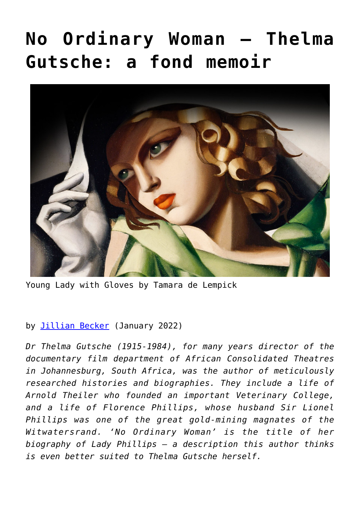## **[No Ordinary Woman – Thelma](https://www.newenglishreview.org/articles/no-ordinary-woman-thelma-gutsche-a-fond-memoir/) [Gutsche: a fond memoir](https://www.newenglishreview.org/articles/no-ordinary-woman-thelma-gutsche-a-fond-memoir/)**



Young Lady with Gloves by Tamara de Lempick

## by [Jillian Becker](https://www.newenglishreview.org/authors/jillian-becker/?) (January 2022)

*Dr Thelma Gutsche (1915-1984), for many years director of the documentary film department of African Consolidated Theatres in Johannesburg, South Africa, was the author of meticulously researched histories and biographies. They include a life of Arnold Theiler who founded an important Veterinary College, and a life of Florence Phillips, whose husband Sir Lionel Phillips was one of the great gold-mining magnates of the Witwatersrand. 'No Ordinary Woman' is the title of her biography of Lady Phillips – a description this author thinks is even better suited to Thelma Gutsche herself.*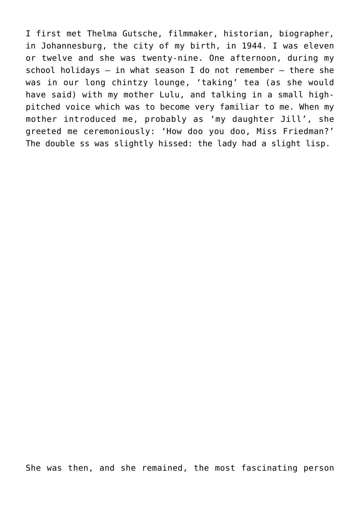I first met Thelma Gutsche, filmmaker, historian, biographer, in Johannesburg, the city of my birth, in 1944. I was eleven or twelve and she was twenty-nine. One afternoon, during my school holidays  $-$  in what season I do not remember  $-$  there she was in our long chintzy lounge, 'taking' tea (as she would have said) with my mother Lulu, and talking in a small highpitched voice which was to become very familiar to me. When my mother introduced me, probably as 'my daughter Jill', she greeted me ceremoniously: 'How doo you doo, Miss Friedman?' The double ss was slightly hissed: the lady had a slight lisp.

She was then, and she remained, the most fascinating person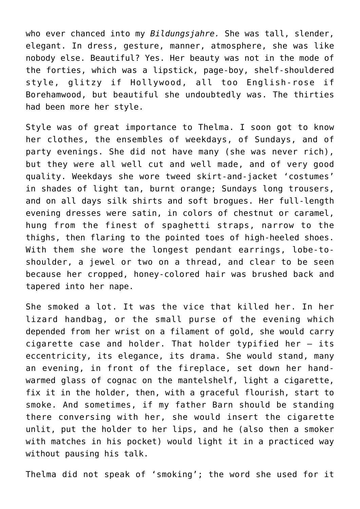who ever chanced into my *Bildungsjahre.* She was tall, slender, elegant. In dress, gesture, manner, atmosphere, she was like nobody else. Beautiful? Yes. Her beauty was not in the mode of the forties, which was a lipstick, page-boy, shelf-shouldered style, glitzy if Hollywood, all too English-rose if Borehamwood, but beautiful she undoubtedly was. The thirties had been more her style.

Style was of great importance to Thelma. I soon got to know her clothes, the ensembles of weekdays, of Sundays, and of party evenings. She did not have many (she was never rich), but they were all well cut and well made, and of very good quality. Weekdays she wore tweed skirt-and-jacket 'costumes' in shades of light tan, burnt orange; Sundays long trousers, and on all days silk shirts and soft brogues. Her full-length evening dresses were satin, in colors of chestnut or caramel, hung from the finest of spaghetti straps, narrow to the thighs, then flaring to the pointed toes of high-heeled shoes. With them she wore the longest pendant earrings, lobe-toshoulder, a jewel or two on a thread, and clear to be seen because her cropped, honey-colored hair was brushed back and tapered into her nape.

She smoked a lot. It was the vice that killed her. In her lizard handbag, or the small purse of the evening which depended from her wrist on a filament of gold, she would carry cigarette case and holder. That holder typified her — its eccentricity, its elegance, its drama. She would stand, many an evening, in front of the fireplace, set down her handwarmed glass of cognac on the mantelshelf, light a cigarette, fix it in the holder, then, with a graceful flourish, start to smoke. And sometimes, if my father Barn should be standing there conversing with her, she would insert the cigarette unlit, put the holder to her lips, and he (also then a smoker with matches in his pocket) would light it in a practiced way without pausing his talk.

Thelma did not speak of 'smoking'; the word she used for it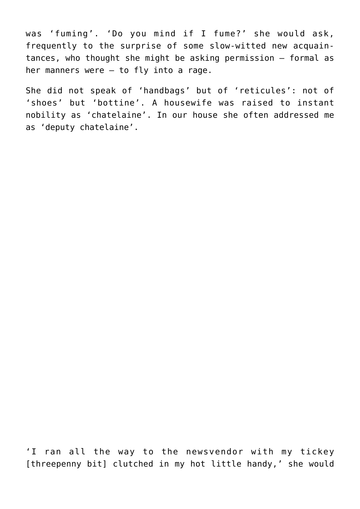was 'fuming'. 'Do you mind if I fume?' she would ask, frequently to the surprise of some slow-witted new acquaintances, who thought she might be asking permission — formal as her manners were — to fly into a rage.

She did not speak of 'handbags' but of 'reticules': not of 'shoes' but 'bottine'. A housewife was raised to instant nobility as 'chatelaine'. In our house she often addressed me as 'deputy chatelaine'.

'I ran all the way to the newsvendor with my tickey [threepenny bit] clutched in my hot little handy,' she would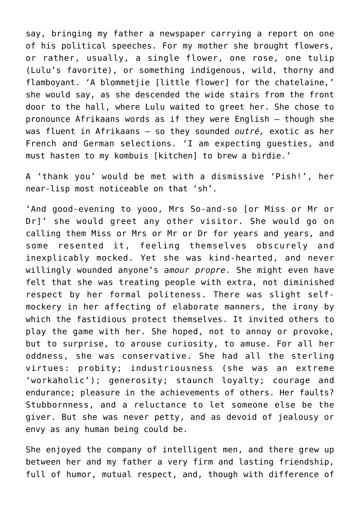say, bringing my father a newspaper carrying a report on one of his political speeches. For my mother she brought flowers, or rather, usually, a single flower, one rose, one tulip (Lulu's favorite), or something indigenous, wild, thorny and flamboyant. 'A blommetjie [little flower] for the chatelaine,' she would say, as she descended the wide stairs from the front door to the hall, where Lulu waited to greet her. She chose to pronounce Afrikaans words as if they were English – though she was fluent in Afrikaans – so they sounded *outré,* exotic as her French and German selections. 'I am expecting guesties, and must hasten to my kombuis [kitchen] to brew a birdie.'

A 'thank you' would be met with a dismissive 'Pish!', her near-lisp most noticeable on that 'sh'.

'And good-evening to yooo, Mrs So-and-so [or Miss or Mr or Dr]' she would greet any other visitor. She would go on calling them Miss or Mrs or Mr or Dr for years and years, and some resented it, feeling themselves obscurely and inexplicably mocked. Yet she was kind-hearted, and never willingly wounded anyone's *amour propre.* She might even have felt that she was treating people with extra, not diminished respect by her formal politeness. There was slight selfmockery in her affecting of elaborate manners, the irony by which the fastidious protect themselves. It invited others to play the game with her. She hoped, not to annoy or provoke, but to surprise, to arouse curiosity, to amuse. For all her oddness, she was conservative. She had all the sterling virtues: probity; industriousness (she was an extreme 'workaholic'); generosity; staunch loyalty; courage and endurance; pleasure in the achievements of others. Her faults? Stubbornness, and a reluctance to let someone else be the giver. But she was never petty, and as devoid of jealousy or envy as any human being could be.

She enjoyed the company of intelligent men, and there grew up between her and my father a very firm and lasting friendship, full of humor, mutual respect, and, though with difference of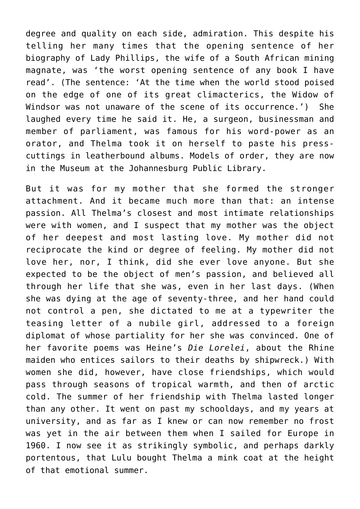degree and quality on each side, admiration. This despite his telling her many times that the opening sentence of her biography of Lady Phillips, the wife of a South African mining magnate, was 'the worst opening sentence of any book I have read'. (The sentence: 'At the time when the world stood poised on the edge of one of its great climacterics, the Widow of Windsor was not unaware of the scene of its occurrence.') She laughed every time he said it. He, a surgeon, businessman and member of parliament, was famous for his word-power as an orator, and Thelma took it on herself to paste his presscuttings in leatherbound albums. Models of order, they are now in the Museum at the Johannesburg Public Library.

But it was for my mother that she formed the stronger attachment. And it became much more than that: an intense passion. All Thelma's closest and most intimate relationships were with women, and I suspect that my mother was the object of her deepest and most lasting love. My mother did not reciprocate the kind or degree of feeling. My mother did not love her, nor, I think, did she ever love anyone. But she expected to be the object of men's passion, and believed all through her life that she was, even in her last days. (When she was dying at the age of seventy-three, and her hand could not control a pen, she dictated to me at a typewriter the teasing letter of a nubile girl, addressed to a foreign diplomat of whose partiality for her she was convinced. One of her favorite poems was Heine's *Die Lorelei*, about the Rhine maiden who entices sailors to their deaths by shipwreck.) With women she did, however, have close friendships, which would pass through seasons of tropical warmth, and then of arctic cold. The summer of her friendship with Thelma lasted longer than any other. It went on past my schooldays, and my years at university, and as far as I knew or can now remember no frost was yet in the air between them when I sailed for Europe in 1960. I now see it as strikingly symbolic, and perhaps darkly portentous, that Lulu bought Thelma a mink coat at the height of that emotional summer.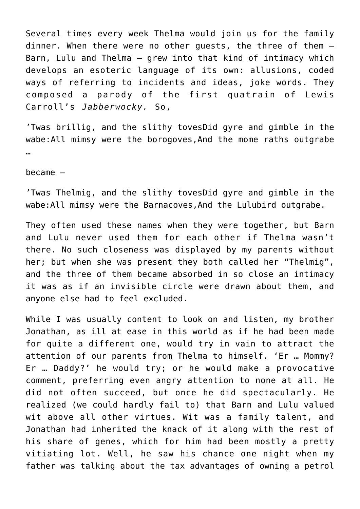Several times every week Thelma would join us for the family dinner. When there were no other guests, the three of them — Barn, Lulu and Thelma — grew into that kind of intimacy which develops an esoteric language of its own: allusions, coded ways of referring to incidents and ideas, joke words. They composed a parody of the first quatrain of Lewis Carroll's *Jabberwocky.* So,

'Twas brillig, and the slithy tovesDid gyre and gimble in the wabe:All mimsy were the borogoves,And the mome raths outgrabe …

became –

'Twas Thelmig, and the slithy tovesDid gyre and gimble in the wabe:All mimsy were the Barnacoves,And the Lulubird outgrabe.

They often used these names when they were together, but Barn and Lulu never used them for each other if Thelma wasn't there. No such closeness was displayed by my parents without her; but when she was present they both called her "Thelmig", and the three of them became absorbed in so close an intimacy it was as if an invisible circle were drawn about them, and anyone else had to feel excluded.

While I was usually content to look on and listen, my brother Jonathan, as ill at ease in this world as if he had been made for quite a different one, would try in vain to attract the attention of our parents from Thelma to himself. 'Er … Mommy? Er … Daddy?' he would try; or he would make a provocative comment, preferring even angry attention to none at all. He did not often succeed, but once he did spectacularly. He realized (we could hardly fail to) that Barn and Lulu valued wit above all other virtues. Wit was a family talent, and Jonathan had inherited the knack of it along with the rest of his share of genes, which for him had been mostly a pretty vitiating lot. Well, he saw his chance one night when my father was talking about the tax advantages of owning a petrol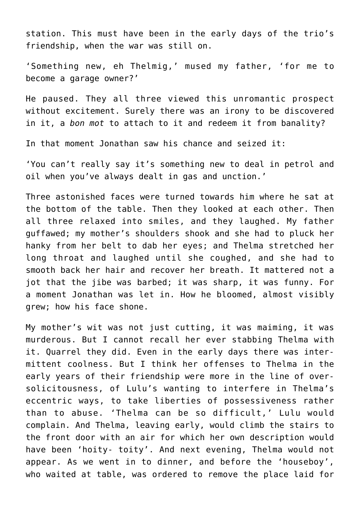station. This must have been in the early days of the trio's friendship, when the war was still on.

'Something new, eh Thelmig,' mused my father, 'for me to become a garage owner?'

He paused. They all three viewed this unromantic prospect without excitement. Surely there was an irony to be discovered in it, a *bon mot* to attach to it and redeem it from banality?

In that moment Jonathan saw his chance and seized it:

'You can't really say it's something new to deal in petrol and oil when you've always dealt in gas and unction.'

Three astonished faces were turned towards him where he sat at the bottom of the table. Then they looked at each other. Then all three relaxed into smiles, and they laughed. My father guffawed; my mother's shoulders shook and she had to pluck her hanky from her belt to dab her eyes; and Thelma stretched her long throat and laughed until she coughed, and she had to smooth back her hair and recover her breath. It mattered not a jot that the jibe was barbed; it was sharp, it was funny. For a moment Jonathan was let in. How he bloomed, almost visibly grew; how his face shone.

My mother's wit was not just cutting, it was maiming, it was murderous. But I cannot recall her ever stabbing Thelma with it. Quarrel they did. Even in the early days there was intermittent coolness. But I think her offenses to Thelma in the early years of their friendship were more in the line of oversolicitousness, of Lulu's wanting to interfere in Thelma's eccentric ways, to take liberties of possessiveness rather than to abuse. 'Thelma can be so difficult,' Lulu would complain. And Thelma, leaving early, would climb the stairs to the front door with an air for which her own description would have been 'hoity- toity'. And next evening, Thelma would not appear. As we went in to dinner, and before the 'houseboy', who waited at table, was ordered to remove the place laid for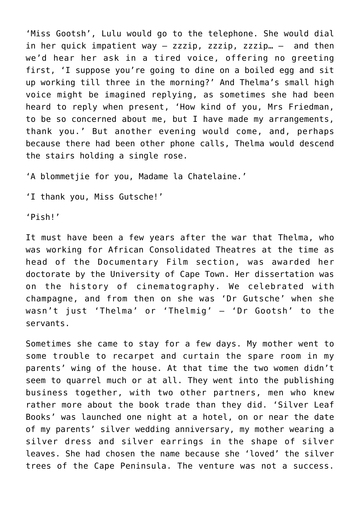'Miss Gootsh', Lulu would go to the telephone. She would dial in her quick impatient way – zzzip, zzzip, zzzip… – and then we'd hear her ask in a tired voice, offering no greeting first, 'I suppose you're going to dine on a boiled egg and sit up working till three in the morning?' And Thelma's small high voice might be imagined replying, as sometimes she had been heard to reply when present, 'How kind of you, Mrs Friedman, to be so concerned about me, but I have made my arrangements, thank you.' But another evening would come, and, perhaps because there had been other phone calls, Thelma would descend the stairs holding a single rose.

'A blommetjie for you, Madame la Chatelaine.'

'I thank you, Miss Gutsche!'

'Pish!'

It must have been a few years after the war that Thelma, who was working for African Consolidated Theatres at the time as head of the Documentary Film section, was awarded her doctorate by the University of Cape Town. Her dissertation was on the history of cinematography. We celebrated with champagne, and from then on she was 'Dr Gutsche' when she wasn't just 'Thelma' or 'Thelmig' — 'Dr Gootsh' to the servants.

Sometimes she came to stay for a few days. My mother went to some trouble to recarpet and curtain the spare room in my parents' wing of the house. At that time the two women didn't seem to quarrel much or at all. They went into the publishing business together, with two other partners, men who knew rather more about the book trade than they did. 'Silver Leaf Books' was launched one night at a hotel, on or near the date of my parents' silver wedding anniversary, my mother wearing a silver dress and silver earrings in the shape of silver leaves. She had chosen the name because she 'loved' the silver trees of the Cape Peninsula. The venture was not a success.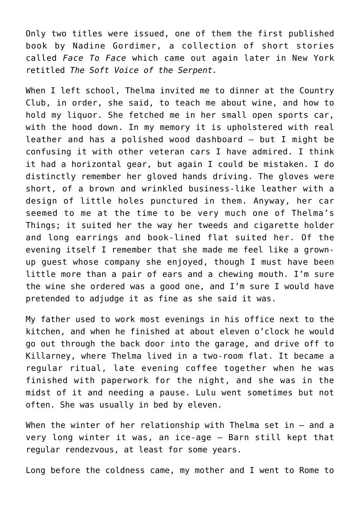Only two titles were issued, one of them the first published book by Nadine Gordimer, a collection of short stories called *Face To Face* which came out again later in New York retitled *The Soft Voice of the Serpent.*

When I left school, Thelma invited me to dinner at the Country Club, in order, she said, to teach me about wine, and how to hold my liquor. She fetched me in her small open sports car, with the hood down. In my memory it is upholstered with real leather and has a polished wood dashboard — but I might be confusing it with other veteran cars I have admired. I think it had a horizontal gear, but again I could be mistaken. I do distinctly remember her gloved hands driving. The gloves were short, of a brown and wrinkled business-like leather with a design of little holes punctured in them. Anyway, her car seemed to me at the time to be very much one of Thelma's Things; it suited her the way her tweeds and cigarette holder and long earrings and book-lined flat suited her. Of the evening itself I remember that she made me feel like a grownup guest whose company she enjoyed, though I must have been little more than a pair of ears and a chewing mouth. I'm sure the wine she ordered was a good one, and I'm sure I would have pretended to adjudge it as fine as she said it was.

My father used to work most evenings in his office next to the kitchen, and when he finished at about eleven o'clock he would go out through the back door into the garage, and drive off to Killarney, where Thelma lived in a two-room flat. It became a regular ritual, late evening coffee together when he was finished with paperwork for the night, and she was in the midst of it and needing a pause. Lulu went sometimes but not often. She was usually in bed by eleven.

When the winter of her relationship with Thelma set in – and a very long winter it was, an ice-age – Barn still kept that regular rendezvous, at least for some years.

Long before the coldness came, my mother and I went to Rome to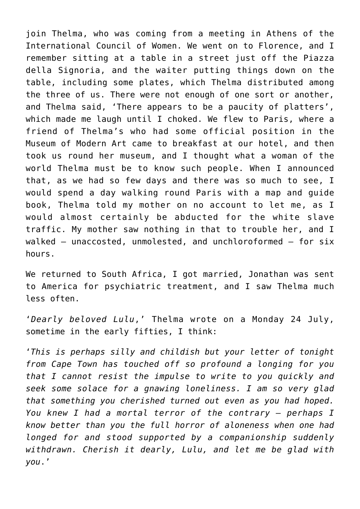join Thelma, who was coming from a meeting in Athens of the International Council of Women. We went on to Florence, and I remember sitting at a table in a street just off the Piazza della Signoria, and the waiter putting things down on the table, including some plates, which Thelma distributed among the three of us. There were not enough of one sort or another, and Thelma said, 'There appears to be a paucity of platters', which made me laugh until I choked. We flew to Paris, where a friend of Thelma's who had some official position in the Museum of Modern Art came to breakfast at our hotel, and then took us round her museum, and I thought what a woman of the world Thelma must be to know such people. When I announced that, as we had so few days and there was so much to see, I would spend a day walking round Paris with a map and guide book, Thelma told my mother on no account to let me, as I would almost certainly be abducted for the white slave traffic. My mother saw nothing in that to trouble her, and I walked — unaccosted, unmolested, and unchloroformed — for six hours.

We returned to South Africa, I got married, Jonathan was sent to America for psychiatric treatment, and I saw Thelma much less often.

'*Dearly beloved Lulu*,' Thelma wrote on a Monday 24 July, sometime in the early fifties, I think:

'*This is perhaps silly and childish but your letter of tonight from Cape Town has touched off so profound a longing for you that I cannot resist the impulse to write to you quickly and seek some solace for a gnawing loneliness. I am so very glad that something you cherished turned out even as you had hoped. You knew I had a mortal terror of the contrary — perhaps I know better than you the full horror of aloneness when one had longed for and stood supported by a companionship suddenly withdrawn. Cherish it dearly, Lulu, and let me be glad with you*.'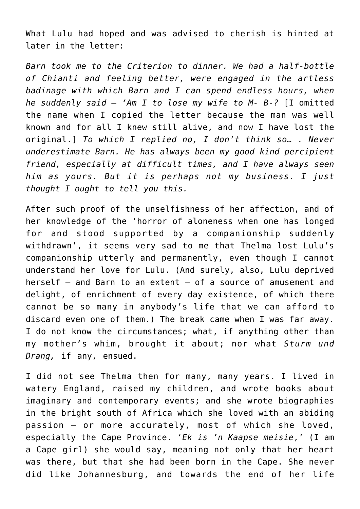What Lulu had hoped and was advised to cherish is hinted at later in the letter:

*Barn took me to the Criterion to dinner. We had a half-bottle of Chianti and feeling better, were engaged in the artless badinage with which Barn and I can spend endless hours, when he suddenly said — 'Am I to lose my wife to M- B-?* [I omitted the name when I copied the letter because the man was well known and for all I knew still alive, and now I have lost the original.] *To which I replied no, I don't think so… . Never underestimate Barn. He has always been my good kind percipient friend, especially at difficult times, and I have always seen him as yours. But it is perhaps not my business. I just thought I ought to tell you this.*

After such proof of the unselfishness of her affection, and of her knowledge of the 'horror of aloneness when one has longed for and stood supported by a companionship suddenly withdrawn', it seems very sad to me that Thelma lost Lulu's companionship utterly and permanently, even though I cannot understand her love for Lulu. (And surely, also, Lulu deprived herself – and Barn to an extent – of a source of amusement and delight, of enrichment of every day existence, of which there cannot be so many in anybody's life that we can afford to discard even one of them.) The break came when I was far away. I do not know the circumstances; what, if anything other than my mother's whim, brought it about; nor what *Sturm und Drang,* if any, ensued.

I did not see Thelma then for many, many years. I lived in watery England, raised my children, and wrote books about imaginary and contemporary events; and she wrote biographies in the bright south of Africa which she loved with an abiding passion — or more accurately, most of which she loved, especially the Cape Province. '*Ek is 'n Kaapse meisie*,' (I am a Cape girl) she would say, meaning not only that her heart was there, but that she had been born in the Cape. She never did like Johannesburg, and towards the end of her life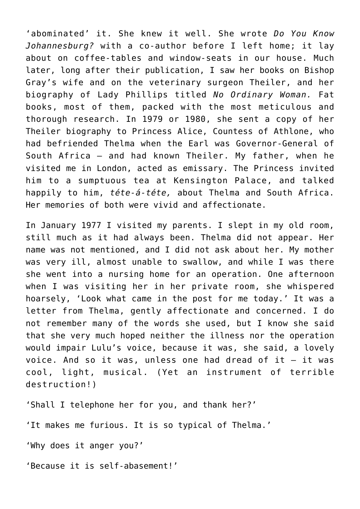'abominated' it. She knew it well. She wrote *Do You Know Johannesburg?* with a co-author before I left home; it lay about on coffee-tables and window-seats in our house. Much later, long after their publication, I saw her books on Bishop Gray's wife and on the veterinary surgeon Theiler, and her biography of Lady Phillips titled *No Ordinary Woman.* Fat books, most of them, packed with the most meticulous and thorough research. In 1979 or 1980, she sent a copy of her Theiler biography to Princess Alice, Countess of Athlone, who had befriended Thelma when the Earl was Governor-General of South Africa – and had known Theiler. My father, when he visited me in London, acted as emissary. The Princess invited him to a sumptuous tea at Kensington Palace, and talked happily to him, *téte-á-téte,* about Thelma and South Africa. Her memories of both were vivid and affectionate.

In January 1977 I visited my parents. I slept in my old room, still much as it had always been. Thelma did not appear. Her name was not mentioned, and I did not ask about her. My mother was very ill, almost unable to swallow, and while I was there she went into a nursing home for an operation. One afternoon when I was visiting her in her private room, she whispered hoarsely, 'Look what came in the post for me today.' It was a letter from Thelma, gently affectionate and concerned. I do not remember many of the words she used, but I know she said that she very much hoped neither the illness nor the operation would impair Lulu's voice, because it was, she said, a lovely voice. And so it was, unless one had dread of it  $-$  it was cool, light, musical. (Yet an instrument of terrible destruction!)

'Shall I telephone her for you, and thank her?'

'It makes me furious. It is so typical of Thelma.'

'Why does it anger you?'

'Because it is self-abasement!'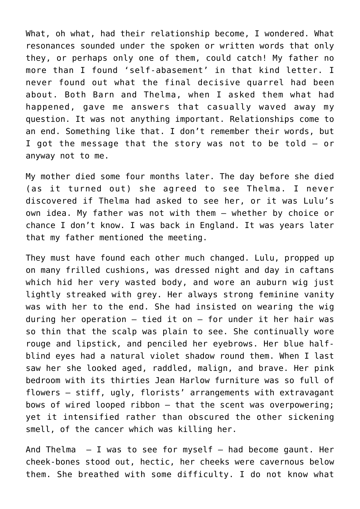What, oh what, had their relationship become, I wondered. What resonances sounded under the spoken or written words that only they, or perhaps only one of them, could catch! My father no more than I found 'self-abasement' in that kind letter. I never found out what the final decisive quarrel had been about. Both Barn and Thelma, when I asked them what had happened, gave me answers that casually waved away my question. It was not anything important. Relationships come to an end. Something like that. I don't remember their words, but I got the message that the story was not to be told – or anyway not to me.

My mother died some four months later. The day before she died (as it turned out) she agreed to see Thelma. I never discovered if Thelma had asked to see her, or it was Lulu's own idea. My father was not with them – whether by choice or chance I don't know. I was back in England. It was years later that my father mentioned the meeting.

They must have found each other much changed. Lulu, propped up on many frilled cushions, was dressed night and day in caftans which hid her very wasted body, and wore an auburn wig just lightly streaked with grey. Her always strong feminine vanity was with her to the end. She had insisted on wearing the wig during her operation  $-$  tied it on  $-$  for under it her hair was so thin that the scalp was plain to see. She continually wore rouge and lipstick, and penciled her eyebrows. Her blue halfblind eyes had a natural violet shadow round them. When I last saw her she looked aged, raddled, malign, and brave. Her pink bedroom with its thirties Jean Harlow furniture was so full of flowers — stiff, ugly, florists' arrangements with extravagant bows of wired looped ribbon — that the scent was overpowering; yet it intensified rather than obscured the other sickening smell, of the cancer which was killing her.

And Thelma  $-$  I was to see for myself  $-$  had become gaunt. Her cheek-bones stood out, hectic, her cheeks were cavernous below them. She breathed with some difficulty. I do not know what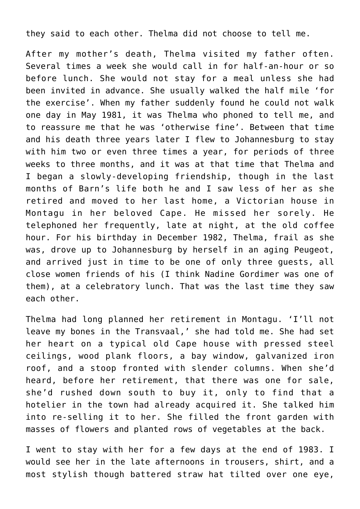they said to each other. Thelma did not choose to tell me.

After my mother's death, Thelma visited my father often. Several times a week she would call in for half-an-hour or so before lunch. She would not stay for a meal unless she had been invited in advance. She usually walked the half mile 'for the exercise'. When my father suddenly found he could not walk one day in May 1981, it was Thelma who phoned to tell me, and to reassure me that he was 'otherwise fine'. Between that time and his death three years later I flew to Johannesburg to stay with him two or even three times a year, for periods of three weeks to three months, and it was at that time that Thelma and I began a slowly-developing friendship, though in the last months of Barn's life both he and I saw less of her as she retired and moved to her last home, a Victorian house in Montagu in her beloved Cape. He missed her sorely. He telephoned her frequently, late at night, at the old coffee hour. For his birthday in December 1982, Thelma, frail as she was, drove up to Johannesburg by herself in an aging Peugeot, and arrived just in time to be one of only three guests, all close women friends of his (I think Nadine Gordimer was one of them), at a celebratory lunch. That was the last time they saw each other.

Thelma had long planned her retirement in Montagu. 'I'll not leave my bones in the Transvaal,' she had told me. She had set her heart on a typical old Cape house with pressed steel ceilings, wood plank floors, a bay window, galvanized iron roof, and a stoop fronted with slender columns. When she'd heard, before her retirement, that there was one for sale, she'd rushed down south to buy it, only to find that a hotelier in the town had already acquired it. She talked him into re-selling it to her. She filled the front garden with masses of flowers and planted rows of vegetables at the back.

I went to stay with her for a few days at the end of 1983. I would see her in the late afternoons in trousers, shirt, and a most stylish though battered straw hat tilted over one eye,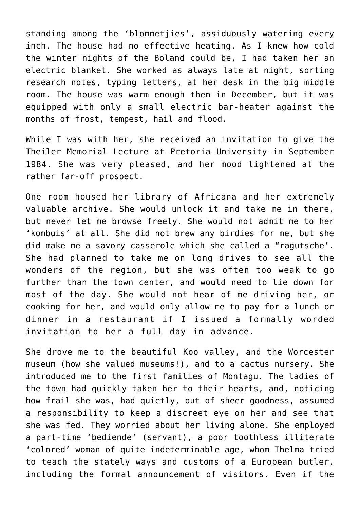standing among the 'blommetjies', assiduously watering every inch. The house had no effective heating. As I knew how cold the winter nights of the Boland could be, I had taken her an electric blanket. She worked as always late at night, sorting research notes, typing letters, at her desk in the big middle room. The house was warm enough then in December, but it was equipped with only a small electric bar-heater against the months of frost, tempest, hail and flood.

While I was with her, she received an invitation to give the Theiler Memorial Lecture at Pretoria University in September 1984. She was very pleased, and her mood lightened at the rather far-off prospect.

One room housed her library of Africana and her extremely valuable archive. She would unlock it and take me in there, but never let me browse freely. She would not admit me to her 'kombuis' at all. She did not brew any birdies for me, but she did make me a savory casserole which she called a "ragutsche'. She had planned to take me on long drives to see all the wonders of the region, but she was often too weak to go further than the town center, and would need to lie down for most of the day. She would not hear of me driving her, or cooking for her, and would only allow me to pay for a lunch or dinner in a restaurant if I issued a formally worded invitation to her a full day in advance.

She drove me to the beautiful Koo valley, and the Worcester museum (how she valued museums!), and to a cactus nursery. She introduced me to the first families of Montagu. The ladies of the town had quickly taken her to their hearts, and, noticing how frail she was, had quietly, out of sheer goodness, assumed a responsibility to keep a discreet eye on her and see that she was fed. They worried about her living alone. She employed a part-time 'bediende' (servant), a poor toothless illiterate 'colored' woman of quite indeterminable age, whom Thelma tried to teach the stately ways and customs of a European butler, including the formal announcement of visitors. Even if the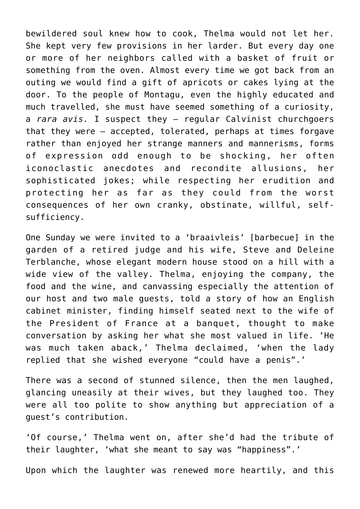bewildered soul knew how to cook, Thelma would not let her. She kept very few provisions in her larder. But every day one or more of her neighbors called with a basket of fruit or something from the oven. Almost every time we got back from an outing we would find a gift of apricots or cakes lying at the door. To the people of Montagu, even the highly educated and much travelled, she must have seemed something of a curiosity, a *rara avis.* I suspect they — regular Calvinist churchgoers that they were — accepted, tolerated, perhaps at times forgave rather than enjoyed her strange manners and mannerisms, forms of expression odd enough to be shocking, her often iconoclastic anecdotes and recondite allusions, her sophisticated jokes; while respecting her erudition and protecting her as far as they could from the worst consequences of her own cranky, obstinate, willful, selfsufficiency.

One Sunday we were invited to a 'braaivleis' [barbecue] in the garden of a retired judge and his wife, Steve and Deleine Terblanche, whose elegant modern house stood on a hill with a wide view of the valley. Thelma, enjoying the company, the food and the wine, and canvassing especially the attention of our host and two male guests, told a story of how an English cabinet minister, finding himself seated next to the wife of the President of France at a banquet, thought to make conversation by asking her what she most valued in life. 'He was much taken aback,' Thelma declaimed, 'when the lady replied that she wished everyone "could have a penis".'

There was a second of stunned silence, then the men laughed, glancing uneasily at their wives, but they laughed too. They were all too polite to show anything but appreciation of a guest's contribution.

'Of course,' Thelma went on, after she'd had the tribute of their laughter, 'what she meant to say was "happiness".'

Upon which the laughter was renewed more heartily, and this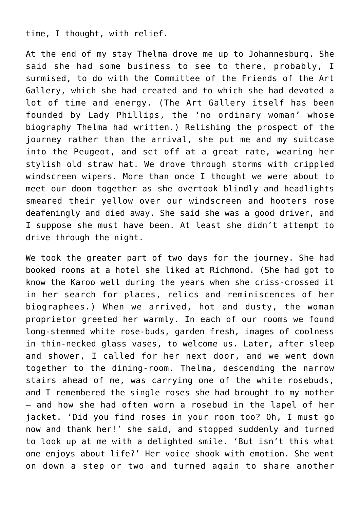time, I thought, with relief.

At the end of my stay Thelma drove me up to Johannesburg. She said she had some business to see to there, probably, I surmised, to do with the Committee of the Friends of the Art Gallery, which she had created and to which she had devoted a lot of time and energy. (The Art Gallery itself has been founded by Lady Phillips, the 'no ordinary woman' whose biography Thelma had written.) Relishing the prospect of the journey rather than the arrival, she put me and my suitcase into the Peugeot, and set off at a great rate, wearing her stylish old straw hat. We drove through storms with crippled windscreen wipers. More than once I thought we were about to meet our doom together as she overtook blindly and headlights smeared their yellow over our windscreen and hooters rose deafeningly and died away. She said she was a good driver, and I suppose she must have been. At least she didn't attempt to drive through the night.

We took the greater part of two days for the journey. She had booked rooms at a hotel she liked at Richmond. (She had got to know the Karoo well during the years when she criss-crossed it in her search for places, relics and reminiscences of her biographees.) When we arrived, hot and dusty, the woman proprietor greeted her warmly. In each of our rooms we found long-stemmed white rose-buds, garden fresh, images of coolness in thin-necked glass vases, to welcome us. Later, after sleep and shower, I called for her next door, and we went down together to the dining-room. Thelma, descending the narrow stairs ahead of me, was carrying one of the white rosebuds, and I remembered the single roses she had brought to my mother — and how she had often worn a rosebud in the lapel of her jacket. 'Did you find roses in your room too? Oh, I must go now and thank her!' she said, and stopped suddenly and turned to look up at me with a delighted smile. 'But isn't this what one enjoys about life?' Her voice shook with emotion. She went on down a step or two and turned again to share another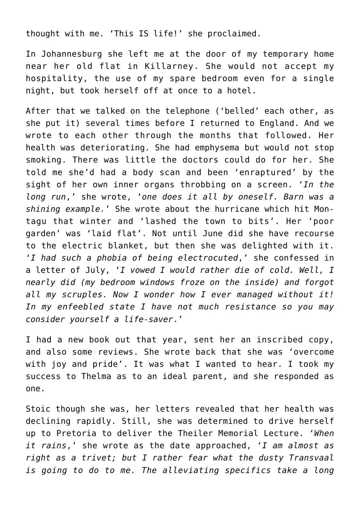thought with me. 'This IS life!' she proclaimed.

In Johannesburg she left me at the door of my temporary home near her old flat in Killarney. She would not accept my hospitality, the use of my spare bedroom even for a single night, but took herself off at once to a hotel.

After that we talked on the telephone ('belled' each other, as she put it) several times before I returned to England. And we wrote to each other through the months that followed. Her health was deteriorating. She had emphysema but would not stop smoking. There was little the doctors could do for her. She told me she'd had a body scan and been 'enraptured' by the sight of her own inner organs throbbing on a screen. '*In the long run*,' she wrote, '*one does it all by oneself. Barn was a shining example.*' She wrote about the hurricane which hit Montagu that winter and 'lashed the town to bits'. Her 'poor garden' was 'laid flat'. Not until June did she have recourse to the electric blanket, but then she was delighted with it. '*I had such a phobia of being electrocuted*,' she confessed in a letter of July, '*I vowed I would rather die of cold. Well, I nearly did (my bedroom windows froze on the inside) and forgot all my scruples. Now I wonder how I ever managed without it! In my enfeebled state I have not much resistance so you may consider yourself a life-saver*.'

I had a new book out that year, sent her an inscribed copy, and also some reviews. She wrote back that she was 'overcome with joy and pride'. It was what I wanted to hear. I took my success to Thelma as to an ideal parent, and she responded as one.

Stoic though she was, her letters revealed that her health was declining rapidly. Still, she was determined to drive herself up to Pretoria to deliver the Theiler Memorial Lecture. '*When it rains*,' she wrote as the date approached, '*I am almost as right as a trivet; but I rather fear what the dusty Transvaal is going to do to me. The alleviating specifics take a long*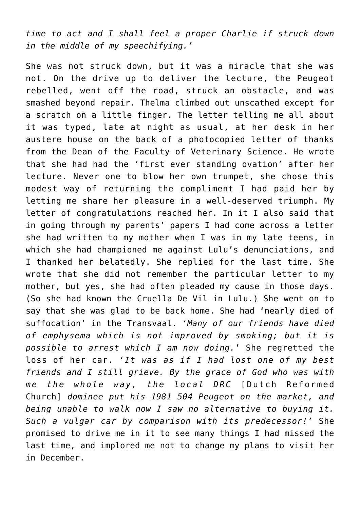*time to act and I shall feel a proper Charlie if struck down in the middle of my speechifying.'*

She was not struck down, but it was a miracle that she was not. On the drive up to deliver the lecture, the Peugeot rebelled, went off the road, struck an obstacle, and was smashed beyond repair. Thelma climbed out unscathed except for a scratch on a little finger. The letter telling me all about it was typed, late at night as usual, at her desk in her austere house on the back of a photocopied letter of thanks from the Dean of the Faculty of Veterinary Science. He wrote that she had had the 'first ever standing ovation' after her lecture. Never one to blow her own trumpet, she chose this modest way of returning the compliment I had paid her by letting me share her pleasure in a well-deserved triumph. My letter of congratulations reached her. In it I also said that in going through my parents' papers I had come across a letter she had written to my mother when I was in my late teens, in which she had championed me against Lulu's denunciations, and I thanked her belatedly. She replied for the last time. She wrote that she did not remember the particular letter to my mother, but yes, she had often pleaded my cause in those days. (So she had known the Cruella De Vil in Lulu.) She went on to say that she was glad to be back home. She had 'nearly died of suffocation' in the Transvaal. '*Many of our friends have died of emphysema which is not improved by smoking; but it is possible to arrest which I am now doing.*' She regretted the loss of her car. '*It was as if I had lost one of my best friends and I still grieve. By the grace of God who was with me the whole way, the local DRC* [Dutch Reformed Church] *dominee put his 1981 504 Peugeot on the market, and being unable to walk now I saw no alternative to buying it. Such a vulgar car by comparison with its predecessor!*' She promised to drive me in it to see many things I had missed the last time, and implored me not to change my plans to visit her in December.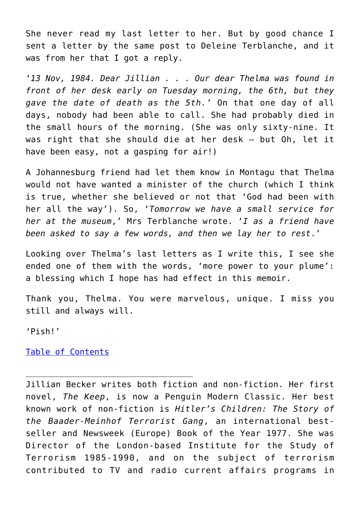She never read my last letter to her. But by good chance I sent a letter by the same post to Deleine Terblanche, and it was from her that I got a reply.

'*13 Nov, 1984. Dear Jillian . . . Our dear Thelma was found in front of her desk early on Tuesday morning, the 6th, but they gave the date of death as the 5th.'* On that one day of all days, nobody had been able to call. She had probably died in the small hours of the morning. (She was only sixty-nine. It was right that she should die at her desk — but Oh, let it have been easy, not a gasping for air!)

A Johannesburg friend had let them know in Montagu that Thelma would not have wanted a minister of the church (which I think is true, whether she believed or not that 'God had been with her all the way'). So, '*Tomorrow we have a small service for her at the museum*,' Mrs Terblanche wrote. '*I as a friend have been asked to say a few words, and then we lay her to rest*.'

Looking over Thelma's last letters as I write this, I see she ended one of them with the words, 'more power to your plume': a blessing which I hope has had effect in this memoir.

Thank you, Thelma. You were marvelous, unique. I miss you still and always will.

'Pish!'

[Table of Contents](https://www.newenglishreview.org/)

Jillian Becker writes both fiction and non-fiction. Her first novel, *The Keep*, is now a Penguin Modern Classic. Her best known work of non-fiction is *Hitler's Children: The Story of the Baader-Meinhof Terrorist Gang*, an international bestseller and Newsweek (Europe) Book of the Year 1977. She was Director of the London-based Institute for the Study of Terrorism 1985-1990, and on the subject of terrorism contributed to TV and radio current affairs programs in